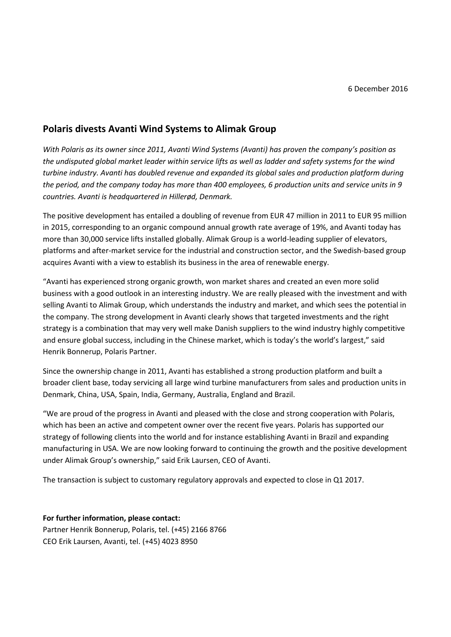## **Polaris divests Avanti Wind Systems to Alimak Group**

*With Polaris as its owner since 2011, Avanti Wind Systems (Avanti) has proven the company's position as the undisputed global market leader within service lifts as well as ladder and safety systems for the wind turbine industry. Avanti has doubled revenue and expanded its global sales and production platform during the period, and the company today has more than 400 employees, 6 production units and service units in 9 countries. Avanti is headquartered in Hillerød, Denmark.*

The positive development has entailed a doubling of revenue from EUR 47 million in 2011 to EUR 95 million in 2015, corresponding to an organic compound annual growth rate average of 19%, and Avanti today has more than 30,000 service lifts installed globally. Alimak Group is a world-leading supplier of elevators, platforms and after-market service for the industrial and construction sector, and the Swedish-based group acquires Avanti with a view to establish its business in the area of renewable energy.

"Avanti has experienced strong organic growth, won market shares and created an even more solid business with a good outlook in an interesting industry. We are really pleased with the investment and with selling Avanti to Alimak Group, which understands the industry and market, and which sees the potential in the company. The strong development in Avanti clearly shows that targeted investments and the right strategy is a combination that may very well make Danish suppliers to the wind industry highly competitive and ensure global success, including in the Chinese market, which is today's the world's largest," said Henrik Bonnerup, Polaris Partner.

Since the ownership change in 2011, Avanti has established a strong production platform and built a broader client base, today servicing all large wind turbine manufacturers from sales and production units in Denmark, China, USA, Spain, India, Germany, Australia, England and Brazil.

"We are proud of the progress in Avanti and pleased with the close and strong cooperation with Polaris, which has been an active and competent owner over the recent five years. Polaris has supported our strategy of following clients into the world and for instance establishing Avanti in Brazil and expanding manufacturing in USA. We are now looking forward to continuing the growth and the positive development under Alimak Group's ownership," said Erik Laursen, CEO of Avanti.

The transaction is subject to customary regulatory approvals and expected to close in Q1 2017.

## **For further information, please contact:**

Partner Henrik Bonnerup, Polaris, tel. (+45) 2166 8766 CEO Erik Laursen, Avanti, tel. (+45) 4023 8950